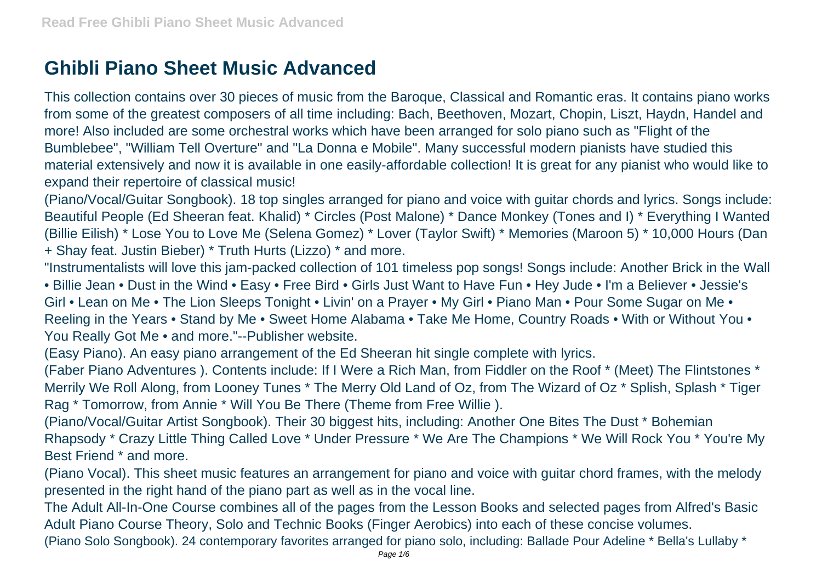## **Ghibli Piano Sheet Music Advanced**

This collection contains over 30 pieces of music from the Baroque, Classical and Romantic eras. It contains piano works from some of the greatest composers of all time including: Bach, Beethoven, Mozart, Chopin, Liszt, Haydn, Handel and more! Also included are some orchestral works which have been arranged for solo piano such as "Flight of the Bumblebee", "William Tell Overture" and "La Donna e Mobile". Many successful modern pianists have studied this material extensively and now it is available in one easily-affordable collection! It is great for any pianist who would like to expand their repertoire of classical music!

(Piano/Vocal/Guitar Songbook). 18 top singles arranged for piano and voice with guitar chords and lyrics. Songs include: Beautiful People (Ed Sheeran feat. Khalid) \* Circles (Post Malone) \* Dance Monkey (Tones and I) \* Everything I Wanted (Billie Eilish) \* Lose You to Love Me (Selena Gomez) \* Lover (Taylor Swift) \* Memories (Maroon 5) \* 10,000 Hours (Dan + Shay feat. Justin Bieber) \* Truth Hurts (Lizzo) \* and more.

"Instrumentalists will love this jam-packed collection of 101 timeless pop songs! Songs include: Another Brick in the Wall • Billie Jean • Dust in the Wind • Easy • Free Bird • Girls Just Want to Have Fun • Hey Jude • I'm a Believer • Jessie's Girl • Lean on Me • The Lion Sleeps Tonight • Livin' on a Prayer • My Girl • Piano Man • Pour Some Sugar on Me • Reeling in the Years • Stand by Me • Sweet Home Alabama • Take Me Home, Country Roads • With or Without You • You Really Got Me • and more."--Publisher website.

(Easy Piano). An easy piano arrangement of the Ed Sheeran hit single complete with lyrics.

(Faber Piano Adventures ). Contents include: If I Were a Rich Man, from Fiddler on the Roof \* (Meet) The Flintstones \* Merrily We Roll Along, from Looney Tunes \* The Merry Old Land of Oz, from The Wizard of Oz \* Splish, Splash \* Tiger Rag \* Tomorrow, from Annie \* Will You Be There (Theme from Free Willie ).

(Piano/Vocal/Guitar Artist Songbook). Their 30 biggest hits, including: Another One Bites The Dust \* Bohemian Rhapsody \* Crazy Little Thing Called Love \* Under Pressure \* We Are The Champions \* We Will Rock You \* You're My Best Friend \* and more.

(Piano Vocal). This sheet music features an arrangement for piano and voice with guitar chord frames, with the melody presented in the right hand of the piano part as well as in the vocal line.

The Adult All-In-One Course combines all of the pages from the Lesson Books and selected pages from Alfred's Basic Adult Piano Course Theory, Solo and Technic Books (Finger Aerobics) into each of these concise volumes.

(Piano Solo Songbook). 24 contemporary favorites arranged for piano solo, including: Ballade Pour Adeline \* Bella's Lullaby \*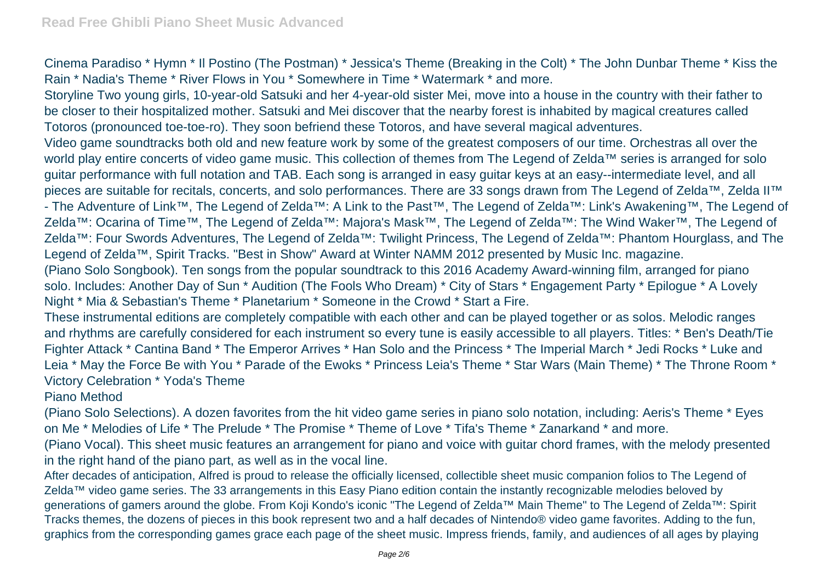Cinema Paradiso \* Hymn \* Il Postino (The Postman) \* Jessica's Theme (Breaking in the Colt) \* The John Dunbar Theme \* Kiss the Rain \* Nadia's Theme \* River Flows in You \* Somewhere in Time \* Watermark \* and more.

Storyline Two young girls, 10-year-old Satsuki and her 4-year-old sister Mei, move into a house in the country with their father to be closer to their hospitalized mother. Satsuki and Mei discover that the nearby forest is inhabited by magical creatures called Totoros (pronounced toe-toe-ro). They soon befriend these Totoros, and have several magical adventures.

Video game soundtracks both old and new feature work by some of the greatest composers of our time. Orchestras all over the world play entire concerts of video game music. This collection of themes from The Legend of Zelda™ series is arranged for solo guitar performance with full notation and TAB. Each song is arranged in easy guitar keys at an easy--intermediate level, and all pieces are suitable for recitals, concerts, and solo performances. There are 33 songs drawn from The Legend of Zelda™, Zelda II™ - The Adventure of Link™, The Legend of Zelda™: A Link to the Past™, The Legend of Zelda™: Link's Awakening™, The Legend of Zelda™: Ocarina of Time™, The Legend of Zelda™: Majora's Mask™, The Legend of Zelda™: The Wind Waker™, The Legend of Zelda™: Four Swords Adventures, The Legend of Zelda™: Twilight Princess, The Legend of Zelda™: Phantom Hourglass, and The Legend of Zelda™, Spirit Tracks. "Best in Show" Award at Winter NAMM 2012 presented by Music Inc. magazine.

(Piano Solo Songbook). Ten songs from the popular soundtrack to this 2016 Academy Award-winning film, arranged for piano solo. Includes: Another Day of Sun \* Audition (The Fools Who Dream) \* City of Stars \* Engagement Party \* Epilogue \* A Lovely Night \* Mia & Sebastian's Theme \* Planetarium \* Someone in the Crowd \* Start a Fire.

These instrumental editions are completely compatible with each other and can be played together or as solos. Melodic ranges and rhythms are carefully considered for each instrument so every tune is easily accessible to all players. Titles: \* Ben's Death/Tie Fighter Attack \* Cantina Band \* The Emperor Arrives \* Han Solo and the Princess \* The Imperial March \* Jedi Rocks \* Luke and Leia \* May the Force Be with You \* Parade of the Ewoks \* Princess Leia's Theme \* Star Wars (Main Theme) \* The Throne Room \* Victory Celebration \* Yoda's Theme

Piano Method

(Piano Solo Selections). A dozen favorites from the hit video game series in piano solo notation, including: Aeris's Theme \* Eyes on Me \* Melodies of Life \* The Prelude \* The Promise \* Theme of Love \* Tifa's Theme \* Zanarkand \* and more.

(Piano Vocal). This sheet music features an arrangement for piano and voice with guitar chord frames, with the melody presented in the right hand of the piano part, as well as in the vocal line.

After decades of anticipation, Alfred is proud to release the officially licensed, collectible sheet music companion folios to The Legend of Zelda™ video game series. The 33 arrangements in this Easy Piano edition contain the instantly recognizable melodies beloved by generations of gamers around the globe. From Koji Kondo's iconic "The Legend of Zelda™ Main Theme" to The Legend of Zelda™: Spirit Tracks themes, the dozens of pieces in this book represent two and a half decades of Nintendo® video game favorites. Adding to the fun, graphics from the corresponding games grace each page of the sheet music. Impress friends, family, and audiences of all ages by playing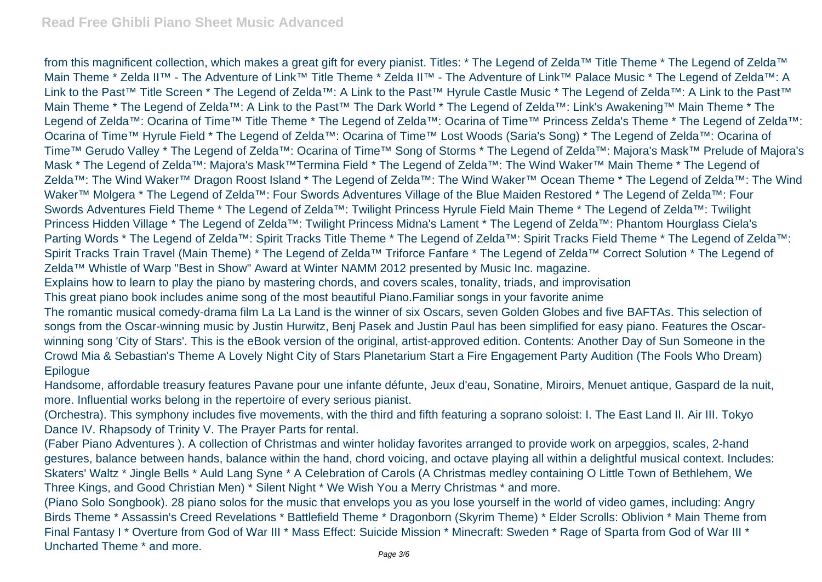from this magnificent collection, which makes a great gift for every pianist. Titles: \* The Legend of Zelda™ Title Theme \* The Legend of Zelda™ Main Theme \* Zelda II™ - The Adventure of Link™ Title Theme \* Zelda II™ - The Adventure of Link™ Palace Music \* The Legend of Zelda™: A Link to the Past™ Title Screen \* The Legend of Zelda™: A Link to the Past™ Hyrule Castle Music \* The Legend of Zelda™: A Link to the Past™ Main Theme \* The Legend of Zelda™: A Link to the Past™ The Dark World \* The Legend of Zelda™: Link's Awakening™ Main Theme \* The Legend of Zelda™: Ocarina of Time™ Title Theme \* The Legend of Zelda™: Ocarina of Time™ Princess Zelda's Theme \* The Legend of Zelda™: Ocarina of Time™ Hyrule Field \* The Legend of Zelda™: Ocarina of Time™ Lost Woods (Saria's Song) \* The Legend of Zelda™: Ocarina of Time™ Gerudo Valley \* The Legend of Zelda™: Ocarina of Time™ Song of Storms \* The Legend of Zelda™: Majora's Mask™ Prelude of Majora's Mask \* The Legend of Zelda™: Majora's Mask™Termina Field \* The Legend of Zelda™: The Wind Waker™ Main Theme \* The Legend of Zelda™: The Wind Waker™ Dragon Roost Island \* The Legend of Zelda™: The Wind Waker™ Ocean Theme \* The Legend of Zelda™: The Wind Waker™ Molgera \* The Legend of Zelda™: Four Swords Adventures Village of the Blue Maiden Restored \* The Legend of Zelda™: Four Swords Adventures Field Theme \* The Legend of Zelda™: Twilight Princess Hyrule Field Main Theme \* The Legend of Zelda™: Twilight Princess Hidden Village \* The Legend of Zelda™: Twilight Princess Midna's Lament \* The Legend of Zelda™: Phantom Hourglass Ciela's Parting Words \* The Legend of Zelda™: Spirit Tracks Title Theme \* The Legend of Zelda™: Spirit Tracks Field Theme \* The Legend of Zelda™: Spirit Tracks Train Travel (Main Theme) \* The Legend of Zelda™ Triforce Fanfare \* The Legend of Zelda™ Correct Solution \* The Legend of Zelda™ Whistle of Warp "Best in Show" Award at Winter NAMM 2012 presented by Music Inc. magazine. Explains how to learn to play the piano by mastering chords, and covers scales, tonality, triads, and improvisation

This great piano book includes anime song of the most beautiful Piano.Familiar songs in your favorite anime

The romantic musical comedy-drama film La La Land is the winner of six Oscars, seven Golden Globes and five BAFTAs. This selection of songs from the Oscar-winning music by Justin Hurwitz, Benj Pasek and Justin Paul has been simplified for easy piano. Features the Oscarwinning song 'City of Stars'. This is the eBook version of the original, artist-approved edition. Contents: Another Day of Sun Someone in the Crowd Mia & Sebastian's Theme A Lovely Night City of Stars Planetarium Start a Fire Engagement Party Audition (The Fools Who Dream) **Epilogue** 

Handsome, affordable treasury features Pavane pour une infante défunte, Jeux d'eau, Sonatine, Miroirs, Menuet antique, Gaspard de la nuit, more. Influential works belong in the repertoire of every serious pianist.

(Orchestra). This symphony includes five movements, with the third and fifth featuring a soprano soloist: I. The East Land II. Air III. Tokyo Dance IV. Rhapsody of Trinity V. The Prayer Parts for rental.

(Faber Piano Adventures ). A collection of Christmas and winter holiday favorites arranged to provide work on arpeggios, scales, 2-hand gestures, balance between hands, balance within the hand, chord voicing, and octave playing all within a delightful musical context. Includes: Skaters' Waltz \* Jingle Bells \* Auld Lang Syne \* A Celebration of Carols (A Christmas medley containing O Little Town of Bethlehem, We Three Kings, and Good Christian Men) \* Silent Night \* We Wish You a Merry Christmas \* and more.

(Piano Solo Songbook). 28 piano solos for the music that envelops you as you lose yourself in the world of video games, including: Angry Birds Theme \* Assassin's Creed Revelations \* Battlefield Theme \* Dragonborn (Skyrim Theme) \* Elder Scrolls: Oblivion \* Main Theme from Final Fantasy I \* Overture from God of War III \* Mass Effect: Suicide Mission \* Minecraft: Sweden \* Rage of Sparta from God of War III \* Uncharted Theme \* and more.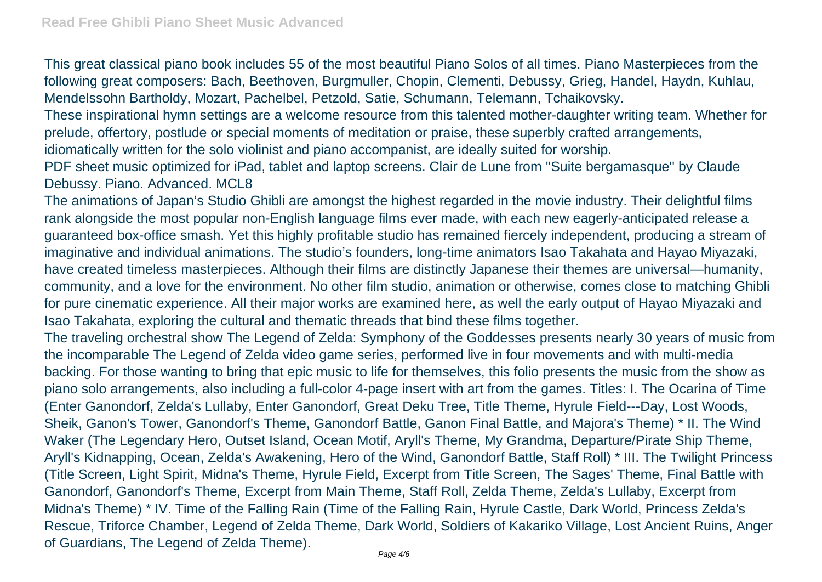This great classical piano book includes 55 of the most beautiful Piano Solos of all times. Piano Masterpieces from the following great composers: Bach, Beethoven, Burgmuller, Chopin, Clementi, Debussy, Grieg, Handel, Haydn, Kuhlau, Mendelssohn Bartholdy, Mozart, Pachelbel, Petzold, Satie, Schumann, Telemann, Tchaikovsky.

These inspirational hymn settings are a welcome resource from this talented mother-daughter writing team. Whether for prelude, offertory, postlude or special moments of meditation or praise, these superbly crafted arrangements,

idiomatically written for the solo violinist and piano accompanist, are ideally suited for worship.

PDF sheet music optimized for iPad, tablet and laptop screens. Clair de Lune from ''Suite bergamasque'' by Claude Debussy. Piano. Advanced. MCL8

The animations of Japan's Studio Ghibli are amongst the highest regarded in the movie industry. Their delightful films rank alongside the most popular non-English language films ever made, with each new eagerly-anticipated release a guaranteed box-office smash. Yet this highly profitable studio has remained fiercely independent, producing a stream of imaginative and individual animations. The studio's founders, long-time animators Isao Takahata and Hayao Miyazaki, have created timeless masterpieces. Although their films are distinctly Japanese their themes are universal—humanity, community, and a love for the environment. No other film studio, animation or otherwise, comes close to matching Ghibli for pure cinematic experience. All their major works are examined here, as well the early output of Hayao Miyazaki and Isao Takahata, exploring the cultural and thematic threads that bind these films together.

The traveling orchestral show The Legend of Zelda: Symphony of the Goddesses presents nearly 30 years of music from the incomparable The Legend of Zelda video game series, performed live in four movements and with multi-media backing. For those wanting to bring that epic music to life for themselves, this folio presents the music from the show as piano solo arrangements, also including a full-color 4-page insert with art from the games. Titles: I. The Ocarina of Time (Enter Ganondorf, Zelda's Lullaby, Enter Ganondorf, Great Deku Tree, Title Theme, Hyrule Field---Day, Lost Woods, Sheik, Ganon's Tower, Ganondorf's Theme, Ganondorf Battle, Ganon Final Battle, and Majora's Theme) \* II. The Wind Waker (The Legendary Hero, Outset Island, Ocean Motif, Aryll's Theme, My Grandma, Departure/Pirate Ship Theme, Aryll's Kidnapping, Ocean, Zelda's Awakening, Hero of the Wind, Ganondorf Battle, Staff Roll) \* III. The Twilight Princess (Title Screen, Light Spirit, Midna's Theme, Hyrule Field, Excerpt from Title Screen, The Sages' Theme, Final Battle with Ganondorf, Ganondorf's Theme, Excerpt from Main Theme, Staff Roll, Zelda Theme, Zelda's Lullaby, Excerpt from Midna's Theme) \* IV. Time of the Falling Rain (Time of the Falling Rain, Hyrule Castle, Dark World, Princess Zelda's Rescue, Triforce Chamber, Legend of Zelda Theme, Dark World, Soldiers of Kakariko Village, Lost Ancient Ruins, Anger of Guardians, The Legend of Zelda Theme).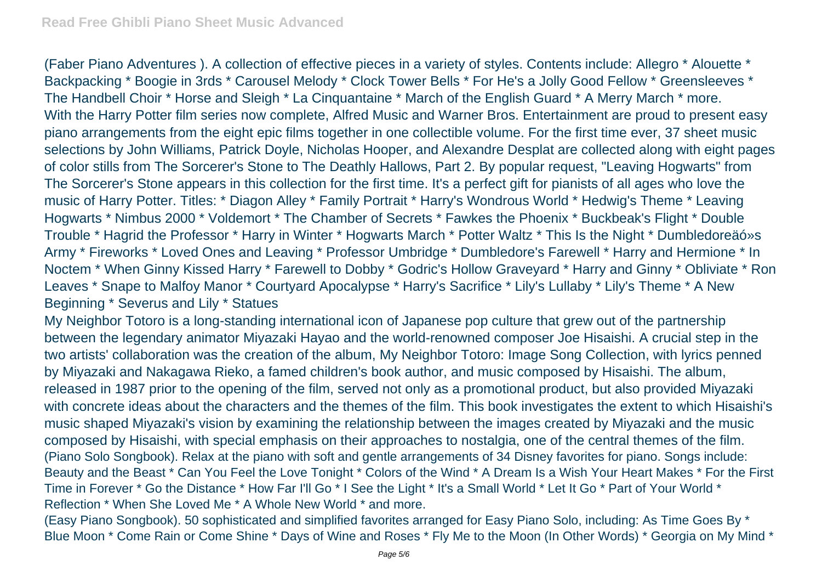(Faber Piano Adventures ). A collection of effective pieces in a variety of styles. Contents include: Allegro \* Alouette \* Backpacking \* Boogie in 3rds \* Carousel Melody \* Clock Tower Bells \* For He's a Jolly Good Fellow \* Greensleeves \* The Handbell Choir \* Horse and Sleigh \* La Cinquantaine \* March of the English Guard \* A Merry March \* more. With the Harry Potter film series now complete, Alfred Music and Warner Bros. Entertainment are proud to present easy piano arrangements from the eight epic films together in one collectible volume. For the first time ever, 37 sheet music selections by John Williams, Patrick Doyle, Nicholas Hooper, and Alexandre Desplat are collected along with eight pages of color stills from The Sorcerer's Stone to The Deathly Hallows, Part 2. By popular request, "Leaving Hogwarts" from The Sorcerer's Stone appears in this collection for the first time. It's a perfect gift for pianists of all ages who love the music of Harry Potter. Titles: \* Diagon Alley \* Family Portrait \* Harry's Wondrous World \* Hedwig's Theme \* Leaving Hogwarts \* Nimbus 2000 \* Voldemort \* The Chamber of Secrets \* Fawkes the Phoenix \* Buckbeak's Flight \* Double Trouble \* Hagrid the Professor \* Harry in Winter \* Hogwarts March \* Potter Waltz \* This Is the Night \* Dumbledoreäó»s Army \* Fireworks \* Loved Ones and Leaving \* Professor Umbridge \* Dumbledore's Farewell \* Harry and Hermione \* In Noctem \* When Ginny Kissed Harry \* Farewell to Dobby \* Godric's Hollow Graveyard \* Harry and Ginny \* Obliviate \* Ron Leaves \* Snape to Malfoy Manor \* Courtyard Apocalypse \* Harry's Sacrifice \* Lily's Lullaby \* Lily's Theme \* A New Beginning \* Severus and Lily \* Statues

My Neighbor Totoro is a long-standing international icon of Japanese pop culture that grew out of the partnership between the legendary animator Miyazaki Hayao and the world-renowned composer Joe Hisaishi. A crucial step in the two artists' collaboration was the creation of the album, My Neighbor Totoro: Image Song Collection, with lyrics penned by Miyazaki and Nakagawa Rieko, a famed children's book author, and music composed by Hisaishi. The album, released in 1987 prior to the opening of the film, served not only as a promotional product, but also provided Miyazaki with concrete ideas about the characters and the themes of the film. This book investigates the extent to which Hisaishi's music shaped Miyazaki's vision by examining the relationship between the images created by Miyazaki and the music composed by Hisaishi, with special emphasis on their approaches to nostalgia, one of the central themes of the film. (Piano Solo Songbook). Relax at the piano with soft and gentle arrangements of 34 Disney favorites for piano. Songs include: Beauty and the Beast \* Can You Feel the Love Tonight \* Colors of the Wind \* A Dream Is a Wish Your Heart Makes \* For the First Time in Forever \* Go the Distance \* How Far I'll Go \* I See the Light \* It's a Small World \* Let It Go \* Part of Your World \* Reflection \* When She Loved Me \* A Whole New World \* and more.

(Easy Piano Songbook). 50 sophisticated and simplified favorites arranged for Easy Piano Solo, including: As Time Goes By \* Blue Moon \* Come Rain or Come Shine \* Days of Wine and Roses \* Fly Me to the Moon (In Other Words) \* Georgia on My Mind \*